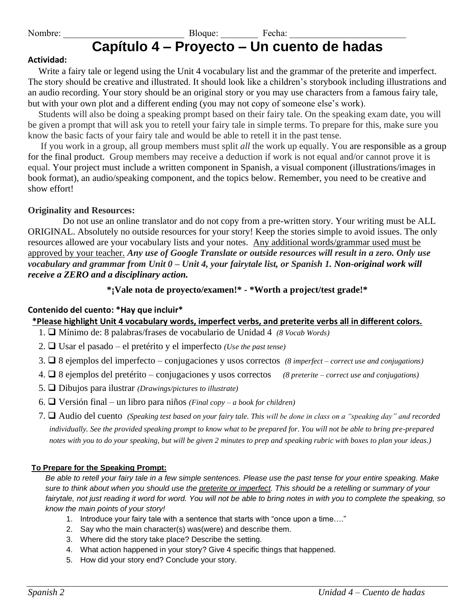## Nombre: The Bloque: The Bloque: The Bloque: The Bloque: The Bloque: The Bloque: The Bloque: The Bloque: The Bloque: The Bloque: The Bloque: The Bloque: The Bloque: The Bloque: The Bloque: The Bloque: The Bloque: The Bloque **Capítulo 4 – Proyecto – Un cuento de hadas**

### **Actividad:**

Write a fairy tale or legend using the Unit 4 vocabulary list and the grammar of the preterite and imperfect. The story should be creative and illustrated. It should look like a children's storybook including illustrations and an audio recording. Your story should be an original story or you may use characters from a famous fairy tale, but with your own plot and a different ending (you may not copy of someone else's work).

Students will also be doing a speaking prompt based on their fairy tale. On the speaking exam date, you will be given a prompt that will ask you to retell your fairy tale in simple terms. To prepare for this, make sure you know the basic facts of your fairy tale and would be able to retell it in the past tense.

If you work in a group, all group members must split *all* the work up equally. You are responsible as a group for the final product. Group members may receive a deduction if work is not equal and/or cannot prove it is equal. Your project must include a written component in Spanish, a visual component (illustrations/images in book format), an audio/speaking component, and the topics below. Remember, you need to be creative and show effort!

## **Originality and Resources:**

Do not use an online translator and do not copy from a pre-written story. Your writing must be ALL ORIGINAL. Absolutely no outside resources for your story! Keep the stories simple to avoid issues. The only resources allowed are your vocabulary lists and your notes. Any additional words/grammar used must be approved by your teacher. *Any use of Google Translate or outside resources will result in a zero. Only use vocabulary and grammar from Unit 0 – Unit 4, your fairytale list, or Spanish 1. Non-original work will receive a ZERO and a disciplinary action.*

## **\*¡Vale nota de proyecto/examen!\* - \*Worth a project/test grade!\***

## **Contenido del cuento: \*Hay que incluir\***

 **\*Please highlight Unit 4 vocabulary words, imperfect verbs, and preterite verbs all in different colors.**

- 1. ❑ Mínimo de: 8 palabras/frases de vocabulario de Unidad 4 *(8 Vocab Words)*
- 2. ❑ Usar el pasado el pretérito y el imperfecto *(Use the past tense)*
- 3. ❑ 8 ejemplos del imperfecto conjugaciones y usos correctos *(8 imperfect – correct use and conjugations)*
- 4. ❑ 8 ejemplos del pretérito conjugaciones y usos correctos *(8 preterite – correct use and conjugations)*
- 5. ❑ Dibujos para ilustrar *(Drawings/pictures to illustrate)*
- 6. ❑ Versión final un libro para niños *(Final copy – a book for children)*
- 7. ❑ Audio del cuento *(Speaking test based on your fairy tale. This will be done in class on a "speaking day" and recorded individually. See the provided speaking prompt to know what to be prepared for. You will not be able to bring pre-prepared notes with you to do your speaking, but will be given 2 minutes to prep and speaking rubric with boxes to plan your ideas.)*

#### **To Prepare for the Speaking Prompt:**

*Be able to retell your fairy tale in a few simple sentences. Please use the past tense for your entire speaking. Make sure to think about when you should use the preterite or imperfect. This should be a retelling or summary of your fairytale, not just reading it word for word. You will not be able to bring notes in with you to complete the speaking, so know the main points of your story!*

- 1. Introduce your fairy tale with a sentence that starts with "once upon a time…."
- 2. Say who the main character(s) was(were) and describe them.
- 3. Where did the story take place? Describe the setting.
- 4. What action happened in your story? Give 4 specific things that happened.
- 5. How did your story end? Conclude your story.